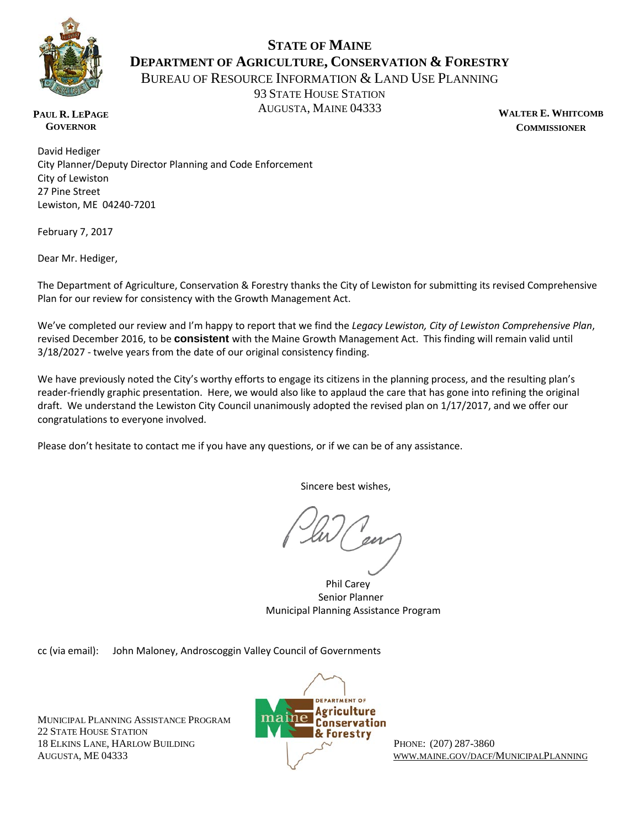

## **STATE OF MAINE DEPARTMENT OF AGRICULTURE, CONSERVATION & FORESTRY**

BUREAU OF RESOURCE INFORMATION & LAND USE PLANNING

93 STATE HOUSE STATION AUGUSTA, MAINE 04333 WALTER E. WHITCOMB

**COMMISSIONER**

**PAUL R. LEPAGE GOVERNOR**

David Hediger City Planner/Deputy Director Planning and Code Enforcement City of Lewiston 27 Pine Street Lewiston, ME 04240-7201

February 7, 2017

Dear Mr. Hediger,

The Department of Agriculture, Conservation & Forestry thanks the City of Lewiston for submitting its revised Comprehensive Plan for our review for consistency with the Growth Management Act.

We've completed our review and I'm happy to report that we find the *Legacy Lewiston, City of Lewiston Comprehensive Plan*, revised December 2016, to be **consistent** with the Maine Growth Management Act. This finding will remain valid until 3/18/2027 - twelve years from the date of our original consistency finding.

We have previously noted the City's worthy efforts to engage its citizens in the planning process, and the resulting plan's reader-friendly graphic presentation. Here, we would also like to applaud the care that has gone into refining the original draft. We understand the Lewiston City Council unanimously adopted the revised plan on 1/17/2017, and we offer our congratulations to everyone involved.

Please don't hesitate to contact me if you have any questions, or if we can be of any assistance.

Sincere best wishes,

 Phil Carey Senior Planner Municipal Planning Assistance Program

cc (via email): John Maloney, Androscoggin Valley Council of Governments

MUNICIPAL PLANNING ASSISTANCE PROGRAM 22 STATE HOUSE STATION **8 Forestry** 18 ELKINS LANE, HARLOW BUILDING PHONE: (207) 287-3860



AUGUSTA, ME 04333 [WWW.MAINE.GOV/DACF/M](http://www.maine.gov/dacf/)UNICIPALPLANNING